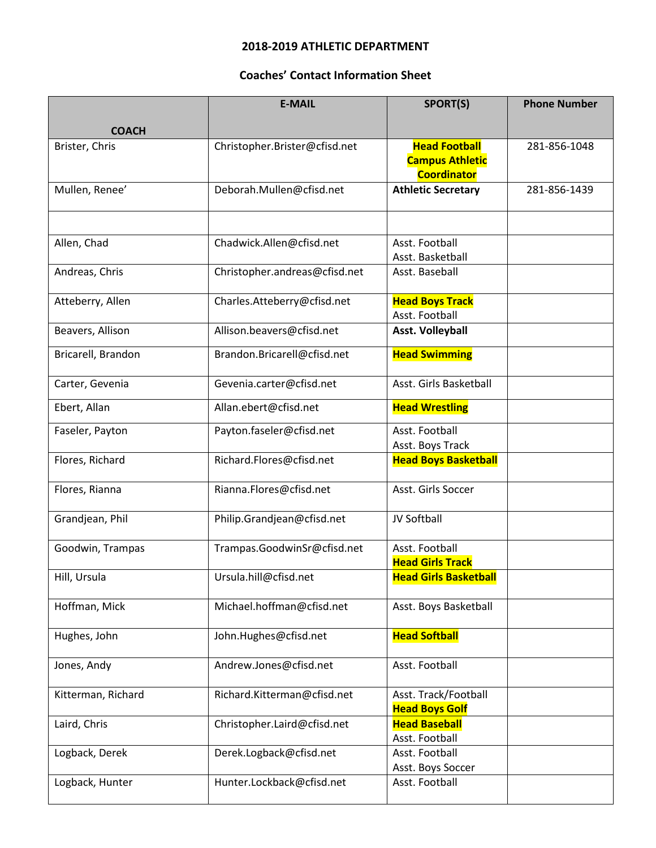## **2018-2019 ATHLETIC DEPARTMENT**

## **Coaches' Contact Information Sheet**

|                    | <b>E-MAIL</b>                 | SPORT(S)                                                             | <b>Phone Number</b> |
|--------------------|-------------------------------|----------------------------------------------------------------------|---------------------|
| <b>COACH</b>       |                               |                                                                      |                     |
| Brister, Chris     | Christopher.Brister@cfisd.net | <b>Head Football</b><br><b>Campus Athletic</b><br><b>Coordinator</b> | 281-856-1048        |
| Mullen, Renee'     | Deborah.Mullen@cfisd.net      | <b>Athletic Secretary</b>                                            | 281-856-1439        |
|                    |                               |                                                                      |                     |
| Allen, Chad        | Chadwick.Allen@cfisd.net      | Asst. Football<br>Asst. Basketball                                   |                     |
| Andreas, Chris     | Christopher.andreas@cfisd.net | Asst. Baseball                                                       |                     |
| Atteberry, Allen   | Charles.Atteberry@cfisd.net   | <b>Head Boys Track</b><br>Asst. Football                             |                     |
| Beavers, Allison   | Allison.beavers@cfisd.net     | <b>Asst. Volleyball</b>                                              |                     |
| Bricarell, Brandon | Brandon.Bricarell@cfisd.net   | <b>Head Swimming</b>                                                 |                     |
| Carter, Gevenia    | Gevenia.carter@cfisd.net      | Asst. Girls Basketball                                               |                     |
| Ebert, Allan       | Allan.ebert@cfisd.net         | <b>Head Wrestling</b>                                                |                     |
| Faseler, Payton    | Payton.faseler@cfisd.net      | Asst. Football<br>Asst. Boys Track                                   |                     |
| Flores, Richard    | Richard.Flores@cfisd.net      | <b>Head Boys Basketball</b>                                          |                     |
| Flores, Rianna     | Rianna.Flores@cfisd.net       | Asst. Girls Soccer                                                   |                     |
| Grandjean, Phil    | Philip.Grandjean@cfisd.net    | JV Softball                                                          |                     |
| Goodwin, Trampas   | Trampas.GoodwinSr@cfisd.net   | Asst. Football<br><b>Head Girls Track</b>                            |                     |
| Hill, Ursula       | Ursula.hill@cfisd.net         | <b>Head Girls Basketball</b>                                         |                     |
| Hoffman, Mick      | Michael.hoffman@cfisd.net     | Asst. Boys Basketball                                                |                     |
| Hughes, John       | John.Hughes@cfisd.net         | <b>Head Softball</b>                                                 |                     |
| Jones, Andy        | Andrew.Jones@cfisd.net        | Asst. Football                                                       |                     |
| Kitterman, Richard | Richard.Kitterman@cfisd.net   | Asst. Track/Football<br><b>Head Boys Golf</b>                        |                     |
| Laird, Chris       | Christopher.Laird@cfisd.net   | <b>Head Baseball</b><br>Asst. Football                               |                     |
| Logback, Derek     | Derek.Logback@cfisd.net       | Asst. Football<br>Asst. Boys Soccer                                  |                     |
| Logback, Hunter    | Hunter.Lockback@cfisd.net     | Asst. Football                                                       |                     |